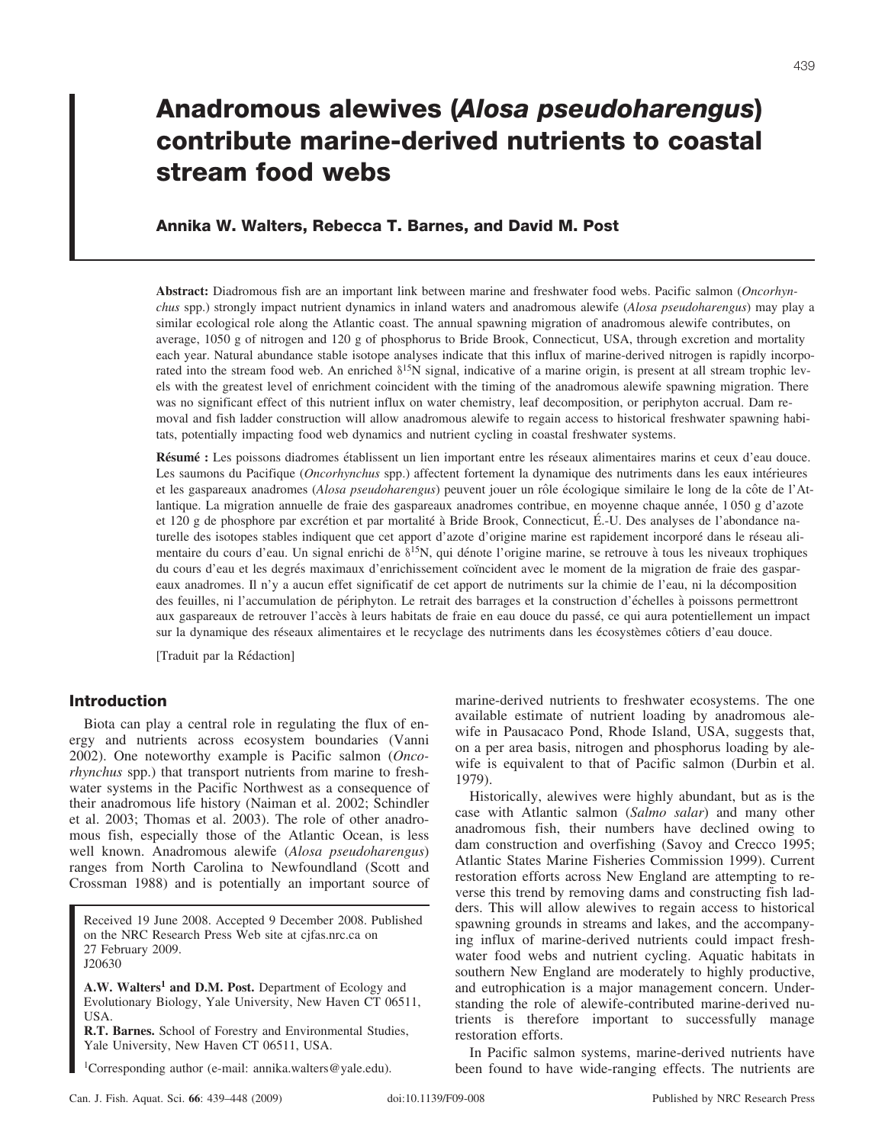# **Anadromous alewives (***Alosa pseudoharengus***) contribute marine-derived nutrients to coastal stream food webs**

# **Annika W. Walters, Rebecca T. Barnes, and David M. Post**

**Abstract:** Diadromous fish are an important link between marine and freshwater food webs. Pacific salmon (*Oncorhynchus* spp.) strongly impact nutrient dynamics in inland waters and anadromous alewife (*Alosa pseudoharengus*) may play a similar ecological role along the Atlantic coast. The annual spawning migration of anadromous alewife contributes, on average, 1050 g of nitrogen and 120 g of phosphorus to Bride Brook, Connecticut, USA, through excretion and mortality each year. Natural abundance stable isotope analyses indicate that this influx of marine-derived nitrogen is rapidly incorporated into the stream food web. An enriched  $\delta^{15}N$  signal, indicative of a marine origin, is present at all stream trophic levels with the greatest level of enrichment coincident with the timing of the anadromous alewife spawning migration. There was no significant effect of this nutrient influx on water chemistry, leaf decomposition, or periphyton accrual. Dam removal and fish ladder construction will allow anadromous alewife to regain access to historical freshwater spawning habitats, potentially impacting food web dynamics and nutrient cycling in coastal freshwater systems.

**Résumé** : Les poissons diadromes établissent un lien important entre les réseaux alimentaires marins et ceux d'eau douce. Les saumons du Pacifique (*Oncorhynchus* spp.) affectent fortement la dynamique des nutriments dans les eaux intérieures et les gaspareaux anadromes (*Alosa pseudoharengus*) peuvent jouer un rôle écologique similaire le long de la côte de l'Atlantique. La migration annuelle de fraie des gaspareaux anadromes contribue, en moyenne chaque année, 1 050 g d'azote et 120 g de phosphore par excrétion et par mortalité à Bride Brook, Connecticut, É.-U. Des analyses de l'abondance naturelle des isotopes stables indiquent que cet apport d'azote d'origine marine est rapidement incorporé dans le réseau alimentaire du cours d'eau. Un signal enrichi de  $\delta^{15}N$ , qui dénote l'origine marine, se retrouve à tous les niveaux trophiques du cours d'eau et les degrés maximaux d'enrichissement coïncident avec le moment de la migration de fraie des gaspareaux anadromes. Il n'y a aucun effet significatif de cet apport de nutriments sur la chimie de l'eau, ni la décomposition des feuilles, ni l'accumulation de périphyton. Le retrait des barrages et la construction d'échelles à poissons permettront aux gaspareaux de retrouver l'accès à leurs habitats de fraie en eau douce du passé, ce qui aura potentiellement un impact sur la dynamique des réseaux alimentaires et le recyclage des nutriments dans les écosystèmes côtiers d'eau douce.

[Traduit par la Rédaction]

# **Introduction**

Biota can play a central role in regulating the flux of energy and nutrients across ecosystem boundaries (Vanni 2002). One noteworthy example is Pacific salmon (*Oncorhynchus* spp.) that transport nutrients from marine to freshwater systems in the Pacific Northwest as a consequence of their anadromous life history (Naiman et al. 2002; Schindler et al. 2003; Thomas et al. 2003). The role of other anadromous fish, especially those of the Atlantic Ocean, is less well known. Anadromous alewife (*Alosa pseudoharengus*) ranges from North Carolina to Newfoundland (Scott and Crossman 1988) and is potentially an important source of

Received 19 June 2008. Accepted 9 December 2008. Published on the NRC Research Press Web site at cjfas.nrc.ca on 27 February 2009. J20630

**A.W. Walters<sup>1</sup> and D.M. Post.** Department of Ecology and Evolutionary Biology, Yale University, New Haven CT 06511, USA.

**R.T. Barnes.** School of Forestry and Environmental Studies, Yale University, New Haven CT 06511, USA.

<sup>1</sup>Corresponding author (e-mail: annika.walters@yale.edu).

marine-derived nutrients to freshwater ecosystems. The one available estimate of nutrient loading by anadromous alewife in Pausacaco Pond, Rhode Island, USA, suggests that, on a per area basis, nitrogen and phosphorus loading by alewife is equivalent to that of Pacific salmon (Durbin et al. 1979).

Historically, alewives were highly abundant, but as is the case with Atlantic salmon (*Salmo salar*) and many other anadromous fish, their numbers have declined owing to dam construction and overfishing (Savoy and Crecco 1995; Atlantic States Marine Fisheries Commission 1999). Current restoration efforts across New England are attempting to reverse this trend by removing dams and constructing fish ladders. This will allow alewives to regain access to historical spawning grounds in streams and lakes, and the accompanying influx of marine-derived nutrients could impact freshwater food webs and nutrient cycling. Aquatic habitats in southern New England are moderately to highly productive, and eutrophication is a major management concern. Understanding the role of alewife-contributed marine-derived nutrients is therefore important to successfully manage restoration efforts.

In Pacific salmon systems, marine-derived nutrients have been found to have wide-ranging effects. The nutrients are

439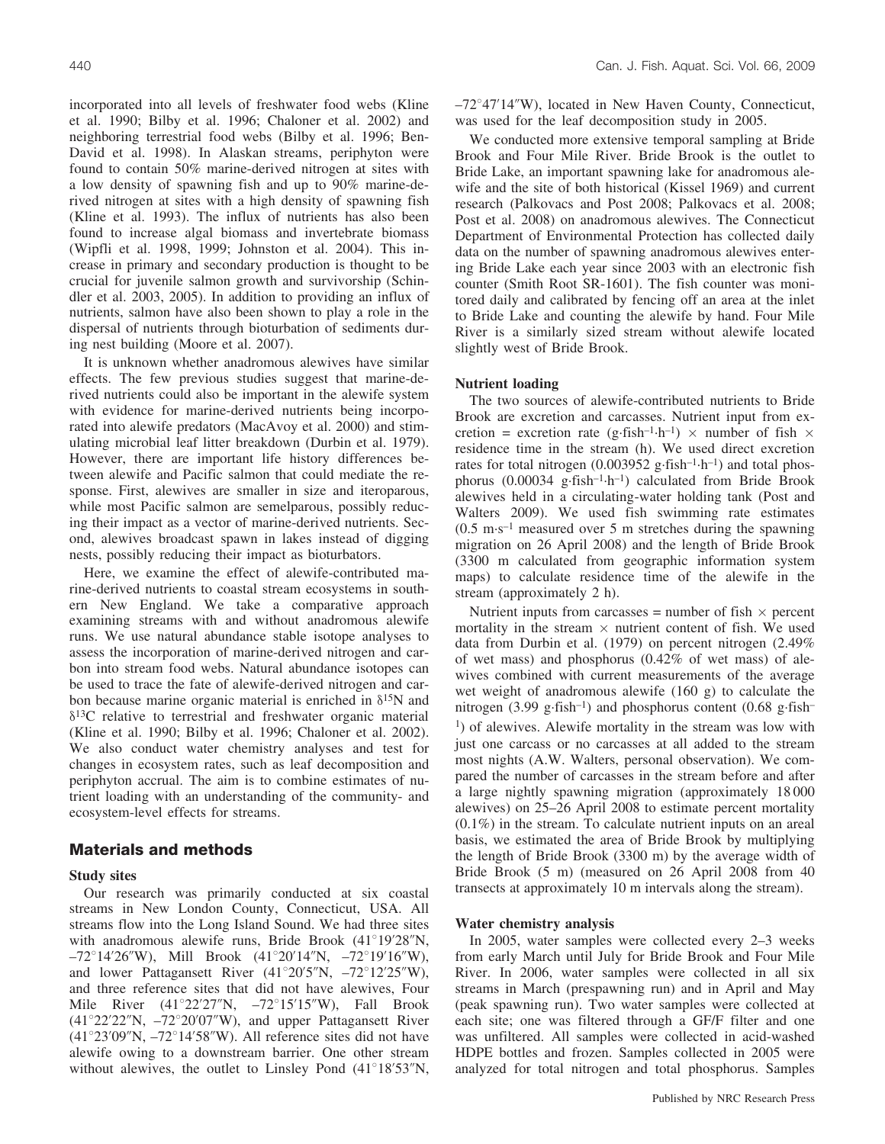incorporated into all levels of freshwater food webs (Kline et al. 1990; Bilby et al. 1996; Chaloner et al. 2002) and neighboring terrestrial food webs (Bilby et al. 1996; Ben-David et al. 1998). In Alaskan streams, periphyton were found to contain 50% marine-derived nitrogen at sites with a low density of spawning fish and up to 90% marine-derived nitrogen at sites with a high density of spawning fish (Kline et al. 1993). The influx of nutrients has also been found to increase algal biomass and invertebrate biomass (Wipfli et al. 1998, 1999; Johnston et al. 2004). This increase in primary and secondary production is thought to be crucial for juvenile salmon growth and survivorship (Schindler et al. 2003, 2005). In addition to providing an influx of nutrients, salmon have also been shown to play a role in the dispersal of nutrients through bioturbation of sediments during nest building (Moore et al. 2007).

It is unknown whether anadromous alewives have similar effects. The few previous studies suggest that marine-derived nutrients could also be important in the alewife system with evidence for marine-derived nutrients being incorporated into alewife predators (MacAvoy et al. 2000) and stimulating microbial leaf litter breakdown (Durbin et al. 1979). However, there are important life history differences between alewife and Pacific salmon that could mediate the response. First, alewives are smaller in size and iteroparous, while most Pacific salmon are semelparous, possibly reducing their impact as a vector of marine-derived nutrients. Second, alewives broadcast spawn in lakes instead of digging nests, possibly reducing their impact as bioturbators.

Here, we examine the effect of alewife-contributed marine-derived nutrients to coastal stream ecosystems in southern New England. We take a comparative approach examining streams with and without anadromous alewife runs. We use natural abundance stable isotope analyses to assess the incorporation of marine-derived nitrogen and carbon into stream food webs. Natural abundance isotopes can be used to trace the fate of alewife-derived nitrogen and carbon because marine organic material is enriched in  $\delta^{15}N$  and  $\delta^{13}$ C relative to terrestrial and freshwater organic material (Kline et al. 1990; Bilby et al. 1996; Chaloner et al. 2002). We also conduct water chemistry analyses and test for changes in ecosystem rates, such as leaf decomposition and periphyton accrual. The aim is to combine estimates of nutrient loading with an understanding of the community- and ecosystem-level effects for streams.

## **Materials and methods**

#### **Study sites**

Our research was primarily conducted at six coastal streams in New London County, Connecticut, USA. All streams flow into the Long Island Sound. We had three sites with anadromous alewife runs, Bride Brook  $(41^{\circ}19'28''N,$  $-72^{\circ}14'26''$ W), Mill Brook  $(41^{\circ}20'14''N, -72^{\circ}19'16''W)$ , and lower Pattagansett River  $(41^{\circ}20'5''N, -72^{\circ}12'25''W)$ , and three reference sites that did not have alewives, Four Mile River  $(41^{\circ}22'27''N, -72^{\circ}15'15''W)$ , Fall Brook  $(41°22'22''N, -72°20'07''W)$ , and upper Pattagansett River  $(41^{\circ}23'09''N, -72^{\circ}14'58''W)$ . All reference sites did not have alewife owing to a downstream barrier. One other stream without alewives, the outlet to Linsley Pond  $(41^{\circ}18'53''N,$   $-72^{\circ}47'14''$ W), located in New Haven County, Connecticut, was used for the leaf decomposition study in 2005.

We conducted more extensive temporal sampling at Bride Brook and Four Mile River. Bride Brook is the outlet to Bride Lake, an important spawning lake for anadromous alewife and the site of both historical (Kissel 1969) and current research (Palkovacs and Post 2008; Palkovacs et al. 2008; Post et al. 2008) on anadromous alewives. The Connecticut Department of Environmental Protection has collected daily data on the number of spawning anadromous alewives entering Bride Lake each year since 2003 with an electronic fish counter (Smith Root SR-1601). The fish counter was monitored daily and calibrated by fencing off an area at the inlet to Bride Lake and counting the alewife by hand. Four Mile River is a similarly sized stream without alewife located slightly west of Bride Brook.

#### **Nutrient loading**

The two sources of alewife-contributed nutrients to Bride Brook are excretion and carcasses. Nutrient input from excretion = excretion rate (g-fish<sup>-1</sup>·h<sup>-1</sup>)  $\times$  number of fish  $\times$ residence time in the stream (h). We used direct excretion rates for total nitrogen  $(0.003952 \text{ g-fish}^{-1} \cdot \text{h}^{-1})$  and total phosphorus (0.00034 g·fish<sup>-1</sup>·h<sup>-1</sup>) calculated from Bride Brook alewives held in a circulating-water holding tank (Post and Walters 2009). We used fish swimming rate estimates  $(0.5 \text{ m} \cdot \text{s}^{-1})$  measured over 5 m stretches during the spawning migration on 26 April 2008) and the length of Bride Brook (3300 m calculated from geographic information system maps) to calculate residence time of the alewife in the stream (approximately 2 h).

Nutrient inputs from carcasses = number of fish  $\times$  percent mortality in the stream  $\times$  nutrient content of fish. We used data from Durbin et al. (1979) on percent nitrogen (2.49% of wet mass) and phosphorus (0.42% of wet mass) of alewives combined with current measurements of the average wet weight of anadromous alewife (160 g) to calculate the nitrogen  $(3.99 \text{ g-fish}^{-1})$  and phosphorus content  $(0.68 \text{ g-fish}^{-1})$ 1) of alewives. Alewife mortality in the stream was low with just one carcass or no carcasses at all added to the stream most nights (A.W. Walters, personal observation). We compared the number of carcasses in the stream before and after a large nightly spawning migration (approximately 18 000 alewives) on 25–26 April 2008 to estimate percent mortality (0.1%) in the stream. To calculate nutrient inputs on an areal basis, we estimated the area of Bride Brook by multiplying the length of Bride Brook (3300 m) by the average width of Bride Brook (5 m) (measured on 26 April 2008 from 40 transects at approximately 10 m intervals along the stream).

## **Water chemistry analysis**

In 2005, water samples were collected every 2–3 weeks from early March until July for Bride Brook and Four Mile River. In 2006, water samples were collected in all six streams in March (prespawning run) and in April and May (peak spawning run). Two water samples were collected at each site; one was filtered through a GF/F filter and one was unfiltered. All samples were collected in acid-washed HDPE bottles and frozen. Samples collected in 2005 were analyzed for total nitrogen and total phosphorus. Samples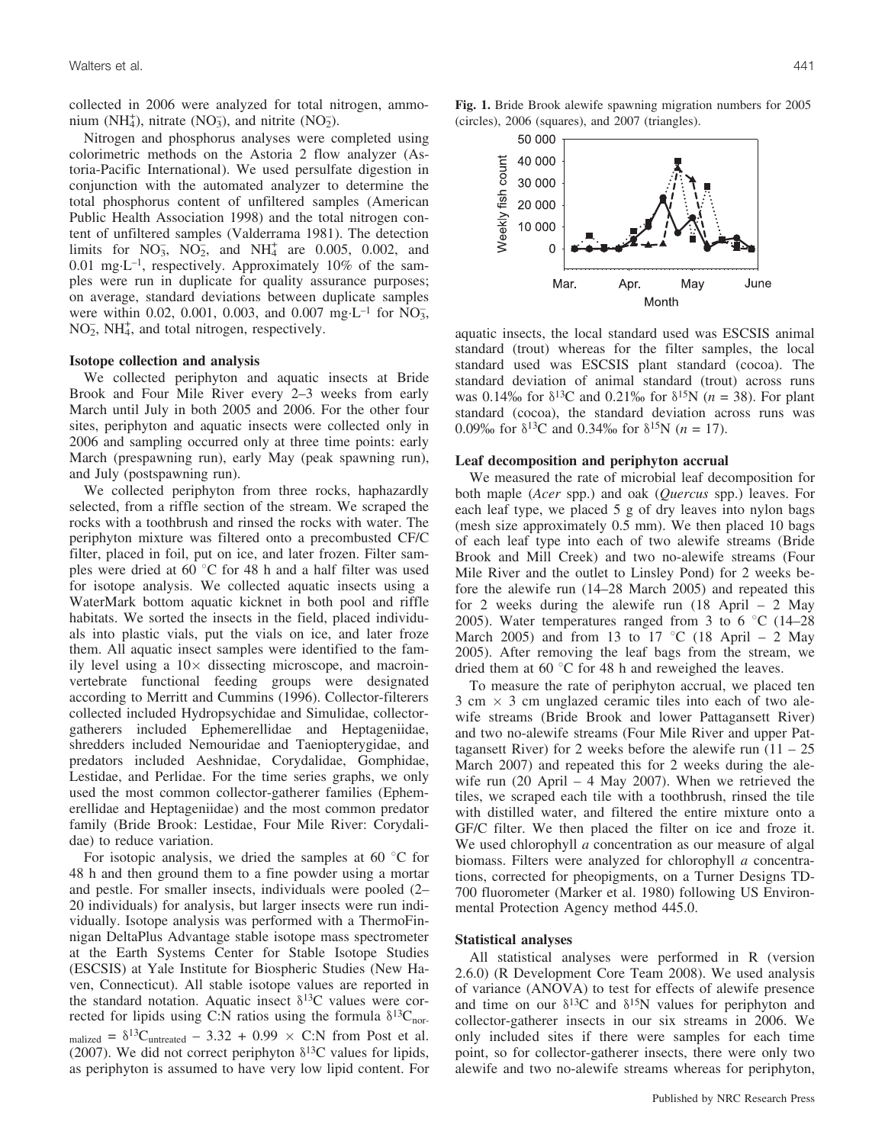collected in 2006 were analyzed for total nitrogen, ammonium (NH<sub>4</sub>), nitrate (NO<sub>3</sub>), and nitrite (NO<sub>2</sub>).

Nitrogen and phosphorus analyses were completed using colorimetric methods on the Astoria 2 flow analyzer (Astoria-Pacific International). We used persulfate digestion in conjunction with the automated analyzer to determine the total phosphorus content of unfiltered samples (American Public Health Association 1998) and the total nitrogen content of unfiltered samples (Valderrama 1981). The detection limits for  $NO_3^-, NO_2^-, and NH_4^+$  are 0.005, 0.002, and 0.01 mg-L–1, respectively. Approximately 10% of the samples were run in duplicate for quality assurance purposes; on average, standard deviations between duplicate samples were within 0.02, 0.001, 0.003, and 0.007 mg·L<sup>-1</sup> for  $\overline{NO_3}$ ,  $NO<sub>2</sub>$ ,  $NH<sub>4</sub>$ , and total nitrogen, respectively.

#### **Isotope collection and analysis**

We collected periphyton and aquatic insects at Bride Brook and Four Mile River every 2–3 weeks from early March until July in both 2005 and 2006. For the other four sites, periphyton and aquatic insects were collected only in 2006 and sampling occurred only at three time points: early March (prespawning run), early May (peak spawning run), and July (postspawning run).

We collected periphyton from three rocks, haphazardly selected, from a riffle section of the stream. We scraped the rocks with a toothbrush and rinsed the rocks with water. The periphyton mixture was filtered onto a precombusted CF/C filter, placed in foil, put on ice, and later frozen. Filter samples were dried at 60  $\degree$ C for 48 h and a half filter was used for isotope analysis. We collected aquatic insects using a WaterMark bottom aquatic kicknet in both pool and riffle habitats. We sorted the insects in the field, placed individuals into plastic vials, put the vials on ice, and later froze them. All aquatic insect samples were identified to the family level using a  $10\times$  dissecting microscope, and macroinvertebrate functional feeding groups were designated according to Merritt and Cummins (1996). Collector-filterers collected included Hydropsychidae and Simulidae, collectorgatherers included Ephemerellidae and Heptageniidae, shredders included Nemouridae and Taeniopterygidae, and predators included Aeshnidae, Corydalidae, Gomphidae, Lestidae, and Perlidae. For the time series graphs, we only used the most common collector-gatherer families (Ephemerellidae and Heptageniidae) and the most common predator family (Bride Brook: Lestidae, Four Mile River: Corydalidae) to reduce variation.

For isotopic analysis, we dried the samples at 60  $\degree$ C for 48 h and then ground them to a fine powder using a mortar and pestle. For smaller insects, individuals were pooled (2– 20 individuals) for analysis, but larger insects were run individually. Isotope analysis was performed with a ThermoFinnigan DeltaPlus Advantage stable isotope mass spectrometer at the Earth Systems Center for Stable Isotope Studies (ESCSIS) at Yale Institute for Biospheric Studies (New Haven, Connecticut). All stable isotope values are reported in the standard notation. Aquatic insect  $\delta^{13}$ C values were corrected for lipids using C:N ratios using the formula  $\delta^{13}C_{\text{nor}}$ . malized =  $\delta^{13}$ Cuntreated – 3.32 + 0.99 × C:N from Post et al. (2007). We did not correct periphyton  $\delta^{13}$ C values for lipids, as periphyton is assumed to have very low lipid content. For

**Fig. 1.** Bride Brook alewife spawning migration numbers for 2005 (circles), 2006 (squares), and 2007 (triangles).



aquatic insects, the local standard used was ESCSIS animal standard (trout) whereas for the filter samples, the local standard used was ESCSIS plant standard (cocoa). The standard deviation of animal standard (trout) across runs was 0.14% for  $\delta^{13}C$  and 0.21% for  $\delta^{15}N$  (*n* = 38). For plant standard (cocoa), the standard deviation across runs was 0.09‰ for  $\delta^{13}$ C and 0.34‰ for  $\delta^{15}$ N (*n* = 17).

## **Leaf decomposition and periphyton accrual**

We measured the rate of microbial leaf decomposition for both maple (*Acer* spp.) and oak (*Quercus* spp.) leaves. For each leaf type, we placed 5 g of dry leaves into nylon bags (mesh size approximately 0.5 mm). We then placed 10 bags of each leaf type into each of two alewife streams (Bride Brook and Mill Creek) and two no-alewife streams (Four Mile River and the outlet to Linsley Pond) for 2 weeks before the alewife run (14–28 March 2005) and repeated this for 2 weeks during the alewife run (18 April – 2 May 2005). Water temperatures ranged from 3 to 6  $\degree$ C (14–28) March 2005) and from 13 to 17 °C (18 April – 2 May 2005). After removing the leaf bags from the stream, we dried them at 60 $\degree$ C for 48 h and reweighed the leaves.

To measure the rate of periphyton accrual, we placed ten  $3 \text{ cm} \times 3 \text{ cm}$  unglazed ceramic tiles into each of two alewife streams (Bride Brook and lower Pattagansett River) and two no-alewife streams (Four Mile River and upper Pattagansett River) for 2 weeks before the alewife run  $(11 – 25)$ March 2007) and repeated this for 2 weeks during the alewife run  $(20 \text{ April} - 4 \text{ May } 2007)$ . When we retrieved the tiles, we scraped each tile with a toothbrush, rinsed the tile with distilled water, and filtered the entire mixture onto a GF/C filter. We then placed the filter on ice and froze it. We used chlorophyll *a* concentration as our measure of algal biomass. Filters were analyzed for chlorophyll *a* concentrations, corrected for pheopigments, on a Turner Designs TD-700 fluorometer (Marker et al. 1980) following US Environmental Protection Agency method 445.0.

#### **Statistical analyses**

All statistical analyses were performed in R (version 2.6.0) (R Development Core Team 2008). We used analysis of variance (ANOVA) to test for effects of alewife presence and time on our  $\delta^{13}C$  and  $\delta^{15}N$  values for periphyton and collector-gatherer insects in our six streams in 2006. We only included sites if there were samples for each time point, so for collector-gatherer insects, there were only two alewife and two no-alewife streams whereas for periphyton,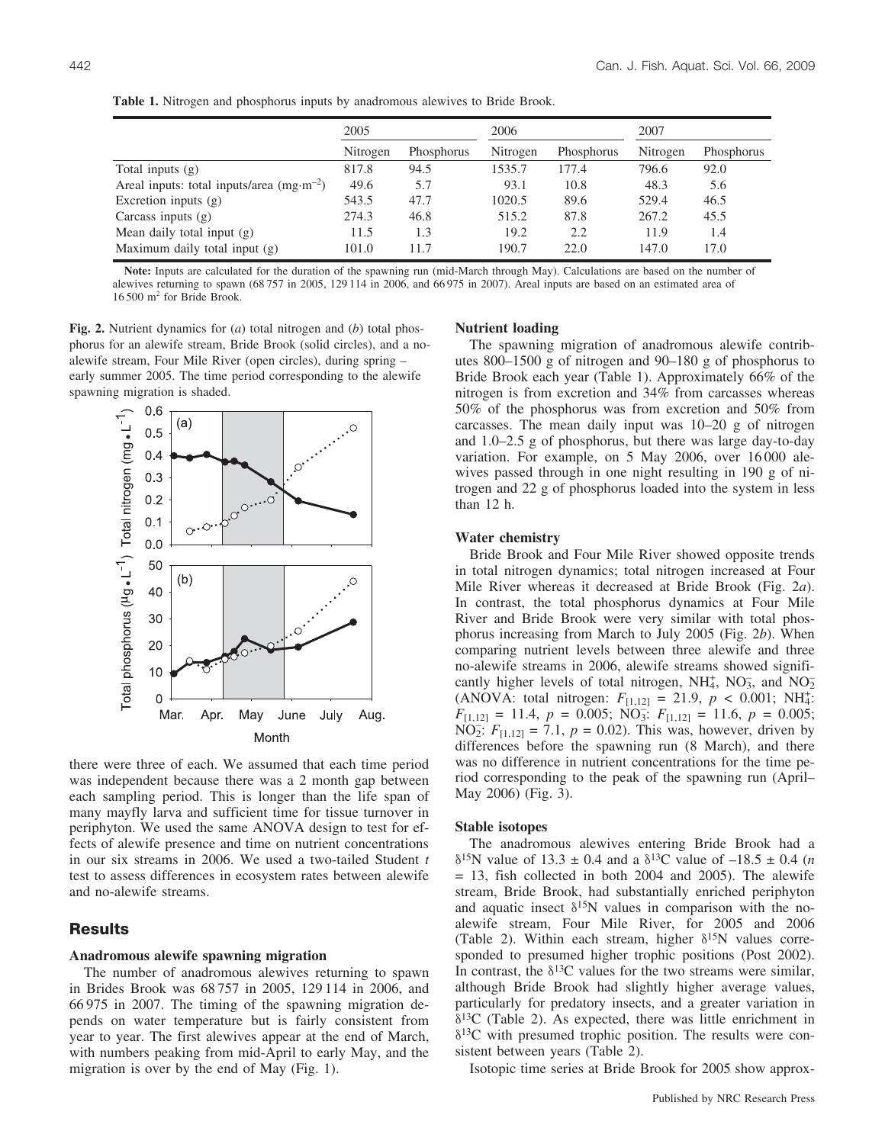|                                                     | 2005     |            | 2006     |            | 2007     |            |  |
|-----------------------------------------------------|----------|------------|----------|------------|----------|------------|--|
|                                                     | Nitrogen | Phosphorus | Nitrogen | Phosphorus | Nitrogen | Phosphorus |  |
| Total inputs $(g)$                                  | 817.8    | 94.5       | 1535.7   | 177.4      | 796.6    | 92.0       |  |
| Areal inputs: total inputs/area $(mg \cdot m^{-2})$ | 49.6     | 5.7        | 93.1     | 10.8       | 48.3     | 5.6        |  |
| Excretion inputs $(g)$                              | 543.5    | 47.7       | 1020.5   | 89.6       | 529.4    | 46.5       |  |
| Carcass inputs $(g)$                                | 274.3    | 46.8       | 515.2    | 87.8       | 267.2    | 45.5       |  |
| Mean daily total input $(g)$                        | 11.5     | 1.3        | 19.2     | 2.2        | 11.9     | 1.4        |  |
| Maximum daily total input (g)                       | 101.0    | 11.7       | 190.7    | 22.0       | 147.0    | 17.0       |  |
|                                                     |          |            |          |            |          |            |  |

**Table 1.** Nitrogen and phosphorus inputs by anadromous alewives to Bride Brook.

**Note:** Inputs are calculated for the duration of the spawning run (mid-March through May). Calculations are based on the number of alewives returning to spawn (68 757 in 2005, 129 114 in 2006, and 66 975 in 2007). Areal inputs are based on an estimated area of  $16 500$  m<sup>2</sup> for Bride Brook.

**Fig. 2.** Nutrient dynamics for (*a*) total nitrogen and (*b*) total phosphorus for an alewife stream, Bride Brook (solid circles), and a noalewife stream, Four Mile River (open circles), during spring – early summer 2005. The time period corresponding to the alewife spawning migration is shaded.



there were three of each. We assumed that each time period was independent because there was a 2 month gap between each sampling period. This is longer than the life span of many mayfly larva and sufficient time for tissue turnover in periphyton. We used the same ANOVA design to test for effects of alewife presence and time on nutrient concentrations in our six streams in 2006. We used a two-tailed Student *t* test to assess differences in ecosystem rates between alewife and no-alewife streams.

# **Results**

#### **Anadromous alewife spawning migration**

The number of anadromous alewives returning to spawn in Brides Brook was 68 757 in 2005, 129 114 in 2006, and 66 975 in 2007. The timing of the spawning migration depends on water temperature but is fairly consistent from year to year. The first alewives appear at the end of March, with numbers peaking from mid-April to early May, and the migration is over by the end of May (Fig. 1).

#### **Nutrient loading**

The spawning migration of anadromous alewife contributes 800–1500 g of nitrogen and 90–180 g of phosphorus to Bride Brook each year (Table 1). Approximately 66% of the nitrogen is from excretion and 34% from carcasses whereas 50% of the phosphorus was from excretion and 50% from carcasses. The mean daily input was 10–20 g of nitrogen and 1.0–2.5 g of phosphorus, but there was large day-to-day variation. For example, on 5 May 2006, over 16 000 alewives passed through in one night resulting in 190 g of nitrogen and 22 g of phosphorus loaded into the system in less than 12 h.

## **Water chemistry**

Bride Brook and Four Mile River showed opposite trends in total nitrogen dynamics; total nitrogen increased at Four Mile River whereas it decreased at Bride Brook (Fig. 2*a*). In contrast, the total phosphorus dynamics at Four Mile River and Bride Brook were very similar with total phosphorus increasing from March to July 2005 (Fig. 2*b*). When comparing nutrient levels between three alewife and three no-alewife streams in 2006, alewife streams showed significantly higher levels of total nitrogen,  $NH_4^+$ ,  $NO_3^-$ , and  $NO_2^-$ (ANOVA: total nitrogen:  $F_{[1,12]} = 21.9, p < 0.001; NH_4^+$  $F_{[1,12]} = 11.4, p = 0.005; \text{NO}_3^{-1}$ :  $F_{[1,12]} = 11.6, p = 0.005;$  $NO_2$ :  $F_{[1,12]} = 7.1$ ,  $p = 0.02$ ). This was, however, driven by differences before the spawning run (8 March), and there was no difference in nutrient concentrations for the time period corresponding to the peak of the spawning run (April– May 2006) (Fig. 3).

#### **Stable isotopes**

The anadromous alewives entering Bride Brook had a  $\delta^{15}$ N value of 13.3 ± 0.4 and a  $\delta^{13}$ C value of -18.5 ± 0.4 (*n*  $= 13$ , fish collected in both 2004 and 2005). The alewife stream, Bride Brook, had substantially enriched periphyton and aquatic insect  $\delta^{15}N$  values in comparison with the noalewife stream, Four Mile River, for 2005 and 2006 (Table 2). Within each stream, higher  $\delta^{15}N$  values corresponded to presumed higher trophic positions (Post 2002). In contrast, the  $\delta^{13}$ C values for the two streams were similar, although Bride Brook had slightly higher average values, particularly for predatory insects, and a greater variation in  $\delta^{13}$ C (Table 2). As expected, there was little enrichment in  $\delta^{13}$ C with presumed trophic position. The results were consistent between years (Table 2).

Isotopic time series at Bride Brook for 2005 show approx-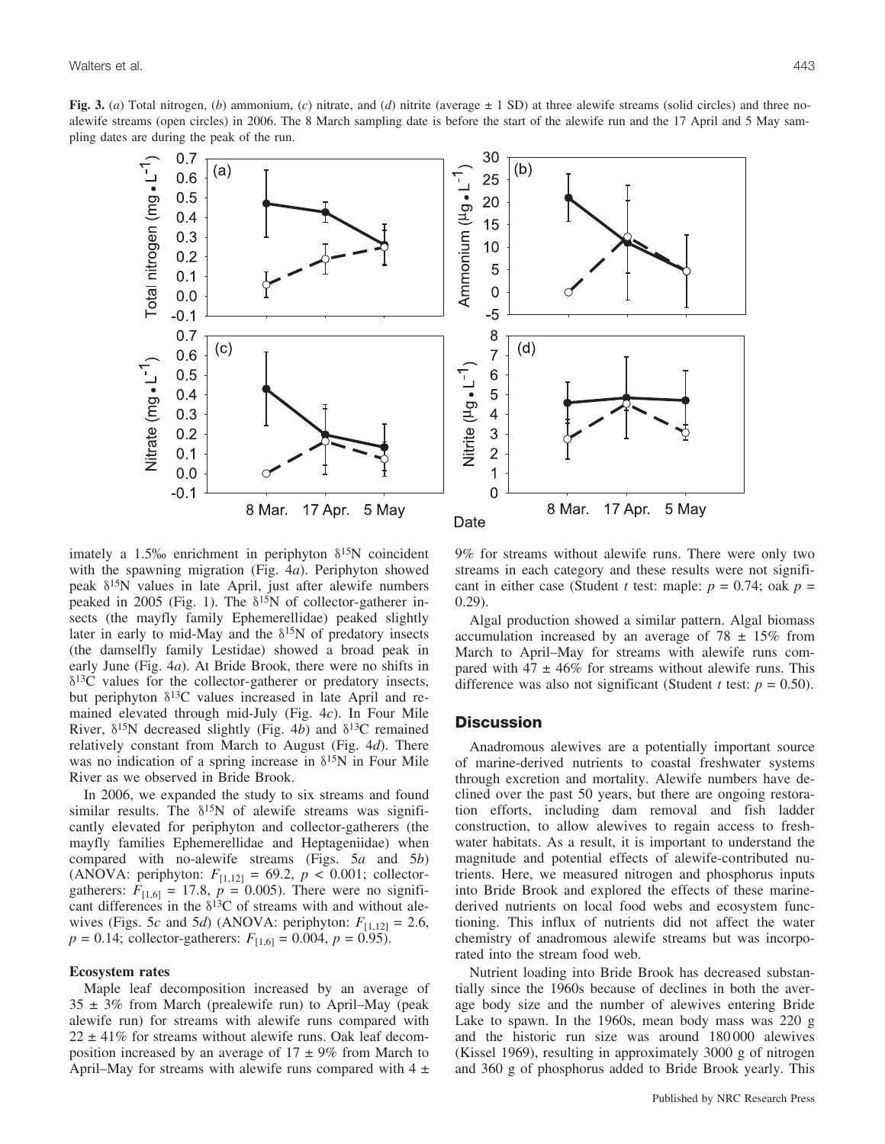**Fig. 3.** (*a*) Total nitrogen, (*b*) ammonium, (*c*) nitrate, and (*d*) nitrite (average ± 1 SD) at three alewife streams (solid circles) and three noalewife streams (open circles) in 2006. The 8 March sampling date is before the start of the alewife run and the 17 April and 5 May sampling dates are during the peak of the run.



imately a 1.5% enrichment in periphyton  $\delta^{15}N$  coincident with the spawning migration (Fig. 4*a*). Periphyton showed peak  $\delta^{15}$ N values in late April, just after alewife numbers peaked in 2005 (Fig. 1). The  $\delta^{15}N$  of collector-gatherer insects (the mayfly family Ephemerellidae) peaked slightly later in early to mid-May and the  $\delta^{15}N$  of predatory insects (the damselfly family Lestidae) showed a broad peak in early June (Fig. 4*a*). At Bride Brook, there were no shifts in  $\delta^{13}$ C values for the collector-gatherer or predatory insects, but periphyton  $\delta^{13}$ C values increased in late April and remained elevated through mid-July (Fig. 4*c*). In Four Mile River,  $\delta^{15}N$  decreased slightly (Fig. 4*b*) and  $\delta^{13}C$  remained relatively constant from March to August (Fig. 4*d*). There was no indication of a spring increase in  $\delta^{15}N$  in Four Mile River as we observed in Bride Brook.

In 2006, we expanded the study to six streams and found similar results. The  $\delta^{15}N$  of alewife streams was significantly elevated for periphyton and collector-gatherers (the mayfly families Ephemerellidae and Heptageniidae) when compared with no-alewife streams (Figs. 5*a* and 5*b*) (ANOVA: periphyton:  $F_{[1,12]} = 69.2, p < 0.001$ ; collectorgatherers:  $F_{[1,6]} = 17.8$ ,  $p = 0.005$ ). There were no significant differences in the  $\delta^{13}$ C of streams with and without alewives (Figs. 5*c* and 5*d*) (ANOVA: periphyton:  $F_{[1,12]} = 2.6$ ,  $p = 0.14$ ; collector-gatherers:  $F_{[1,6]} = 0.004$ ,  $p = 0.95$ ).

#### **Ecosystem rates**

Maple leaf decomposition increased by an average of  $35 \pm 3\%$  from March (prealewife run) to April–May (peak alewife run) for streams with alewife runs compared with  $22 \pm 41\%$  for streams without alewife runs. Oak leaf decomposition increased by an average of  $17 \pm 9\%$  from March to April–May for streams with alewife runs compared with  $4 \pm$  9% for streams without alewife runs. There were only two streams in each category and these results were not significant in either case (Student *t* test: maple:  $p = 0.74$ ; oak  $p =$ 0.29).

Algal production showed a similar pattern. Algal biomass accumulation increased by an average of  $78 \pm 15\%$  from March to April–May for streams with alewife runs compared with 47  $\pm$  46% for streams without alewife runs. This difference was also not significant (Student *t* test:  $p = 0.50$ ).

## **Discussion**

Anadromous alewives are a potentially important source of marine-derived nutrients to coastal freshwater systems through excretion and mortality. Alewife numbers have declined over the past 50 years, but there are ongoing restoration efforts, including dam removal and fish ladder construction, to allow alewives to regain access to freshwater habitats. As a result, it is important to understand the magnitude and potential effects of alewife-contributed nutrients. Here, we measured nitrogen and phosphorus inputs into Bride Brook and explored the effects of these marinederived nutrients on local food webs and ecosystem functioning. This influx of nutrients did not affect the water chemistry of anadromous alewife streams but was incorporated into the stream food web.

Nutrient loading into Bride Brook has decreased substantially since the 1960s because of declines in both the average body size and the number of alewives entering Bride Lake to spawn. In the 1960s, mean body mass was 220 g and the historic run size was around 180 000 alewives (Kissel 1969), resulting in approximately 3000 g of nitrogen and 360 g of phosphorus added to Bride Brook yearly. This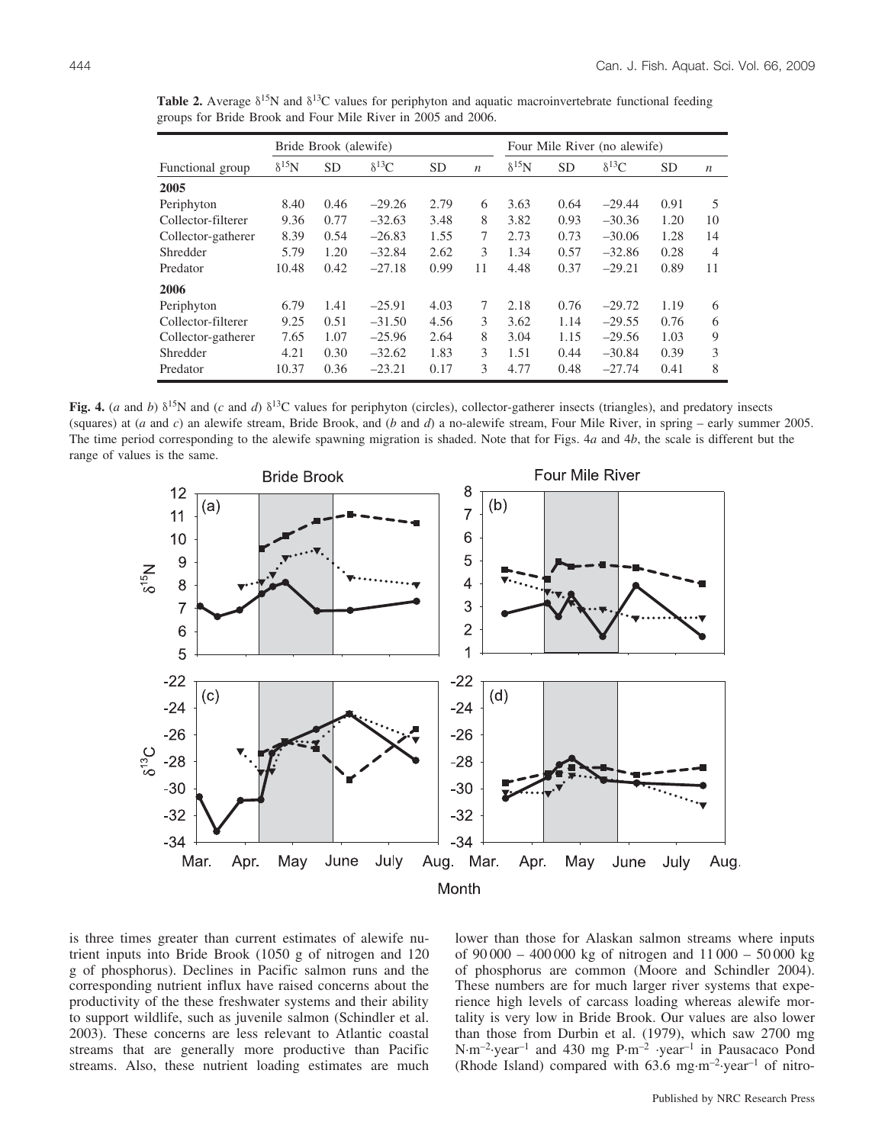|                    | Bride Brook (alewife) |           |                 |           |                  | Four Mile River (no alewife) |           |                |           |                  |
|--------------------|-----------------------|-----------|-----------------|-----------|------------------|------------------------------|-----------|----------------|-----------|------------------|
| Functional group   | $\delta^{15}$ N       | <b>SD</b> | $\delta^{13}$ C | <b>SD</b> | $\boldsymbol{n}$ | $\delta^{15}$ N              | <b>SD</b> | $\delta^{13}C$ | <b>SD</b> | $\boldsymbol{n}$ |
| 2005               |                       |           |                 |           |                  |                              |           |                |           |                  |
| Periphyton         | 8.40                  | 0.46      | $-29.26$        | 2.79      | 6                | 3.63                         | 0.64      | $-29.44$       | 0.91      | 5                |
| Collector-filterer | 9.36                  | 0.77      | $-32.63$        | 3.48      | 8                | 3.82                         | 0.93      | $-30.36$       | 1.20      | 10               |
| Collector-gatherer | 8.39                  | 0.54      | $-26.83$        | 1.55      | 7                | 2.73                         | 0.73      | $-30.06$       | 1.28      | 14               |
| Shredder           | 5.79                  | 1.20      | $-32.84$        | 2.62      | 3                | 1.34                         | 0.57      | $-32.86$       | 0.28      | $\overline{4}$   |
| Predator           | 10.48                 | 0.42      | $-27.18$        | 0.99      | 11               | 4.48                         | 0.37      | $-29.21$       | 0.89      | 11               |
| 2006               |                       |           |                 |           |                  |                              |           |                |           |                  |
| Periphyton         | 6.79                  | 1.41      | $-25.91$        | 4.03      | 7                | 2.18                         | 0.76      | $-29.72$       | 1.19      | 6                |
| Collector-filterer | 9.25                  | 0.51      | $-31.50$        | 4.56      | 3                | 3.62                         | 1.14      | $-29.55$       | 0.76      | 6                |
| Collector-gatherer | 7.65                  | 1.07      | $-25.96$        | 2.64      | 8                | 3.04                         | 1.15      | $-29.56$       | 1.03      | 9                |
| Shredder           | 4.21                  | 0.30      | $-32.62$        | 1.83      | 3                | 1.51                         | 0.44      | $-30.84$       | 0.39      | 3                |
| Predator           | 10.37                 | 0.36      | $-23.21$        | 0.17      | 3                | 4.77                         | 0.48      | $-27.74$       | 0.41      | 8                |

**Table 2.** Average  $\delta^{15}N$  and  $\delta^{13}C$  values for periphyton and aquatic macroinvertebrate functional feeding groups for Bride Brook and Four Mile River in 2005 and 2006.

**Fig. 4.** (*a* and *b*)  $\delta^{15}N$  and (*c* and *d*)  $\delta^{13}C$  values for periphyton (circles), collector-gatherer insects (triangles), and predatory insects (squares) at (*a* and *c*) an alewife stream, Bride Brook, and (*b* and *d*) a no-alewife stream, Four Mile River, in spring – early summer 2005. The time period corresponding to the alewife spawning migration is shaded. Note that for Figs. 4*a* and 4*b*, the scale is different but the range of values is the same.



is three times greater than current estimates of alewife nutrient inputs into Bride Brook (1050 g of nitrogen and 120 g of phosphorus). Declines in Pacific salmon runs and the corresponding nutrient influx have raised concerns about the productivity of the these freshwater systems and their ability to support wildlife, such as juvenile salmon (Schindler et al. 2003). These concerns are less relevant to Atlantic coastal streams that are generally more productive than Pacific streams. Also, these nutrient loading estimates are much lower than those for Alaskan salmon streams where inputs of 90 000 – 400 000 kg of nitrogen and 11 000 – 50 000 kg of phosphorus are common (Moore and Schindler 2004). These numbers are for much larger river systems that experience high levels of carcass loading whereas alewife mortality is very low in Bride Brook. Our values are also lower than those from Durbin et al. (1979), which saw 2700 mg N-m–2-year–1 and 430 mg P-m–2 -year–1 in Pausacaco Pond (Rhode Island) compared with  $63.6$  mg·m<sup>-2</sup>·year<sup>-1</sup> of nitro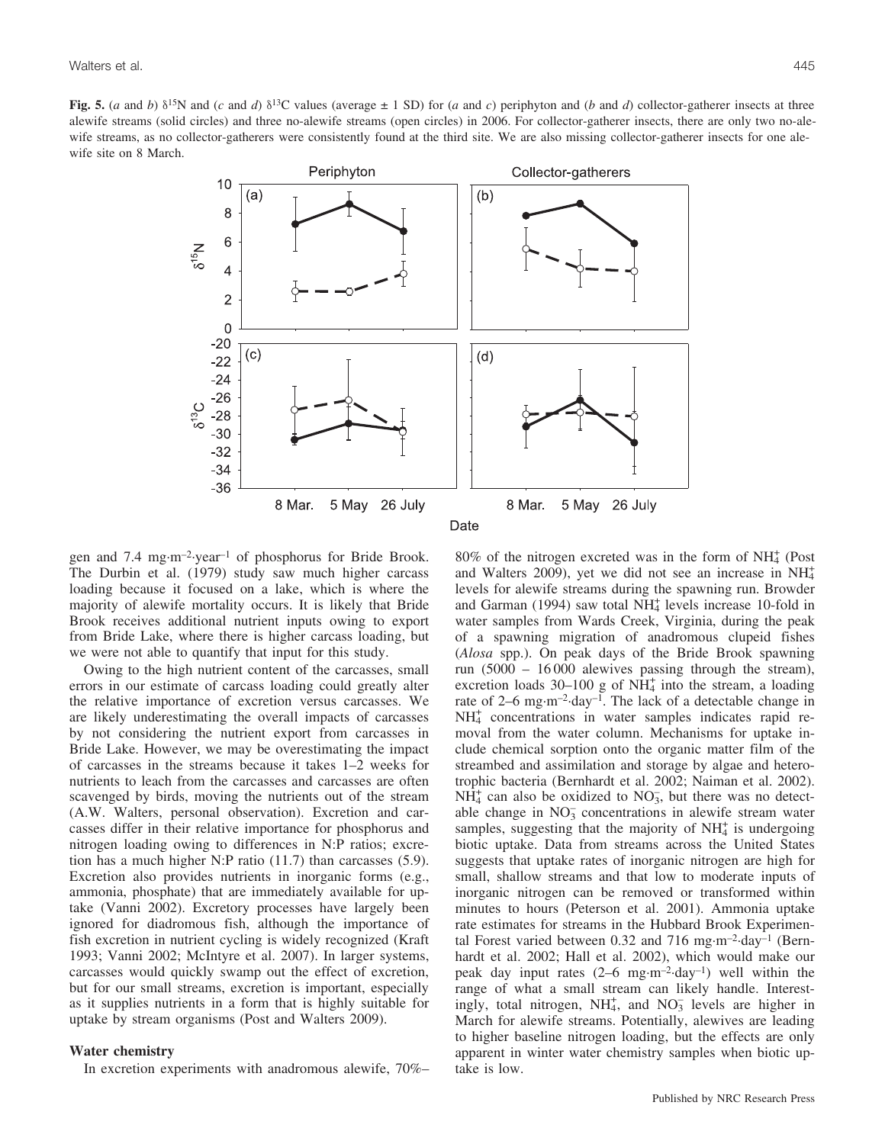Fig. 5. (*a* and *b*)  $\delta^{15}N$  and (*c* and *d*)  $\delta^{13}C$  values (average  $\pm$  1 SD) for (*a* and *c*) periphyton and (*b* and *d*) collector-gatherer insects at three alewife streams (solid circles) and three no-alewife streams (open circles) in 2006. For collector-gatherer insects, there are only two no-alewife streams, as no collector-gatherers were consistently found at the third site. We are also missing collector-gatherer insects for one alewife site on 8 March.



gen and 7.4 mg-m–2-year–1 of phosphorus for Bride Brook. The Durbin et al. (1979) study saw much higher carcass loading because it focused on a lake, which is where the majority of alewife mortality occurs. It is likely that Bride Brook receives additional nutrient inputs owing to export from Bride Lake, where there is higher carcass loading, but we were not able to quantify that input for this study.

Owing to the high nutrient content of the carcasses, small errors in our estimate of carcass loading could greatly alter the relative importance of excretion versus carcasses. We are likely underestimating the overall impacts of carcasses by not considering the nutrient export from carcasses in Bride Lake. However, we may be overestimating the impact of carcasses in the streams because it takes 1–2 weeks for nutrients to leach from the carcasses and carcasses are often scavenged by birds, moving the nutrients out of the stream (A.W. Walters, personal observation). Excretion and carcasses differ in their relative importance for phosphorus and nitrogen loading owing to differences in N:P ratios; excretion has a much higher N:P ratio (11.7) than carcasses (5.9). Excretion also provides nutrients in inorganic forms (e.g., ammonia, phosphate) that are immediately available for uptake (Vanni 2002). Excretory processes have largely been ignored for diadromous fish, although the importance of fish excretion in nutrient cycling is widely recognized (Kraft 1993; Vanni 2002; McIntyre et al. 2007). In larger systems, carcasses would quickly swamp out the effect of excretion, but for our small streams, excretion is important, especially as it supplies nutrients in a form that is highly suitable for uptake by stream organisms (Post and Walters 2009).

#### **Water chemistry**

In excretion experiments with anadromous alewife, 70%–

 $80\%$  of the nitrogen excreted was in the form of NH $<sup>4</sup>$  (Post</sup> and Walters 2009), yet we did not see an increase in  $NH_4^+$ levels for alewife streams during the spawning run. Browder and Garman (1994) saw total  $NH<sub>4</sub><sup>+</sup>$  levels increase 10-fold in water samples from Wards Creek, Virginia, during the peak of a spawning migration of anadromous clupeid fishes (*Alosa* spp.). On peak days of the Bride Brook spawning run (5000 – 16 000 alewives passing through the stream), excretion loads  $30-100$  g of NH<sub>4</sub> into the stream, a loading rate of 2–6 mg·m<sup>-2</sup>·day<sup>-1</sup>. The lack of a detectable change in NH4 <sup>+</sup> concentrations in water samples indicates rapid removal from the water column. Mechanisms for uptake include chemical sorption onto the organic matter film of the streambed and assimilation and storage by algae and heterotrophic bacteria (Bernhardt et al. 2002; Naiman et al. 2002).  $NH<sub>4</sub><sup>+</sup>$  can also be oxidized to NO<sub>3</sub>, but there was no detectable change in  $NO_3^-$  concentrations in alewife stream water samples, suggesting that the majority of  $NH<sub>4</sub><sup>+</sup>$  is undergoing biotic uptake. Data from streams across the United States suggests that uptake rates of inorganic nitrogen are high for small, shallow streams and that low to moderate inputs of inorganic nitrogen can be removed or transformed within minutes to hours (Peterson et al. 2001). Ammonia uptake rate estimates for streams in the Hubbard Brook Experimental Forest varied between 0.32 and 716 mg·m<sup>-2</sup>·day<sup>-1</sup> (Bernhardt et al. 2002; Hall et al. 2002), which would make our peak day input rates (2–6 mg-m–2-day–1) well within the range of what a small stream can likely handle. Interestingly, total nitrogen,  $NH_4^+$ , and  $NO_3^-$  levels are higher in March for alewife streams. Potentially, alewives are leading to higher baseline nitrogen loading, but the effects are only apparent in winter water chemistry samples when biotic uptake is low.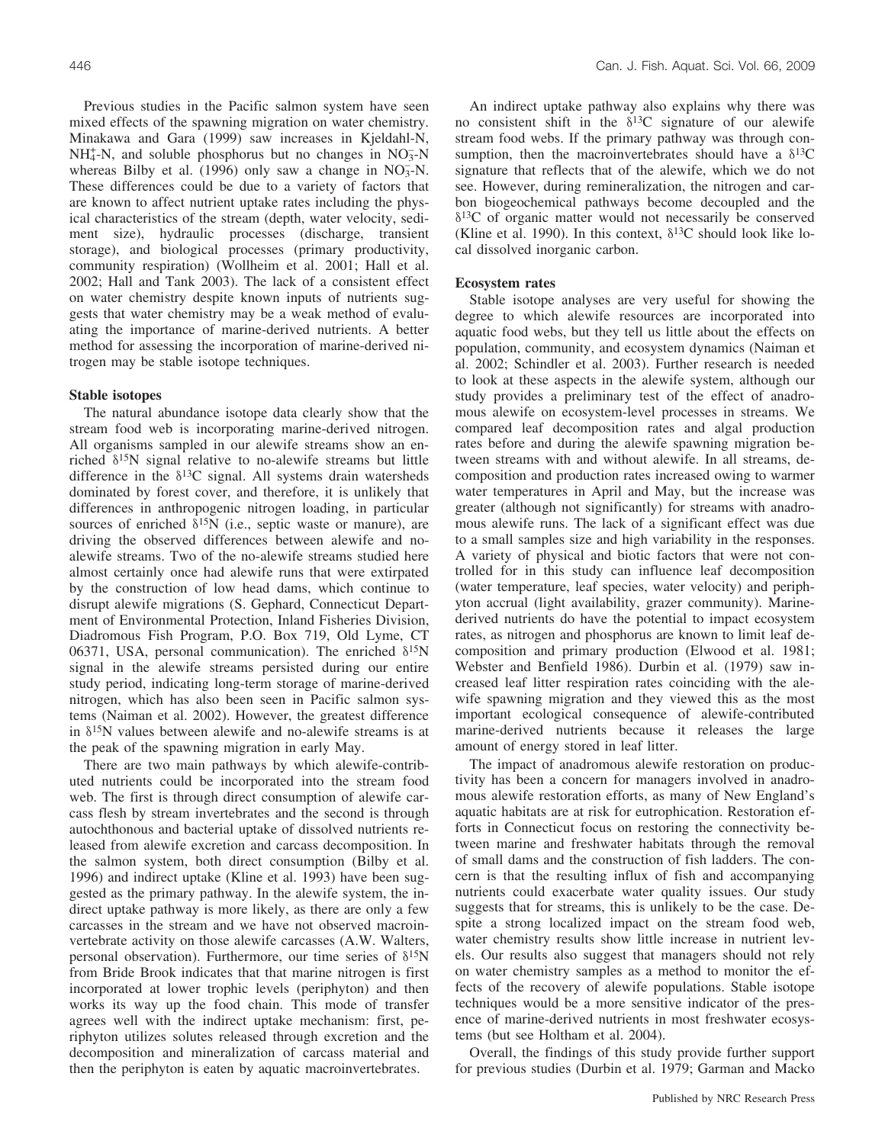Previous studies in the Pacific salmon system have seen mixed effects of the spawning migration on water chemistry. Minakawa and Gara (1999) saw increases in Kjeldahl-N,  $NH_4^+$ -N, and soluble phosphorus but no changes in  $NO_3^-N$ whereas Bilby et al. (1996) only saw a change in  $NO<sub>3</sub><sup>-</sup>N$ . These differences could be due to a variety of factors that are known to affect nutrient uptake rates including the physical characteristics of the stream (depth, water velocity, sediment size), hydraulic processes (discharge, transient storage), and biological processes (primary productivity, community respiration) (Wollheim et al. 2001; Hall et al. 2002; Hall and Tank 2003). The lack of a consistent effect on water chemistry despite known inputs of nutrients suggests that water chemistry may be a weak method of evaluating the importance of marine-derived nutrients. A better method for assessing the incorporation of marine-derived nitrogen may be stable isotope techniques.

### **Stable isotopes**

The natural abundance isotope data clearly show that the stream food web is incorporating marine-derived nitrogen. All organisms sampled in our alewife streams show an enriched  $\delta^{15}N$  signal relative to no-alewife streams but little difference in the  $\delta^{13}$ C signal. All systems drain watersheds dominated by forest cover, and therefore, it is unlikely that differences in anthropogenic nitrogen loading, in particular sources of enriched  $\delta^{15}N$  (i.e., septic waste or manure), are driving the observed differences between alewife and noalewife streams. Two of the no-alewife streams studied here almost certainly once had alewife runs that were extirpated by the construction of low head dams, which continue to disrupt alewife migrations (S. Gephard, Connecticut Department of Environmental Protection, Inland Fisheries Division, Diadromous Fish Program, P.O. Box 719, Old Lyme, CT 06371, USA, personal communication). The enriched  $\delta^{15}N$ signal in the alewife streams persisted during our entire study period, indicating long-term storage of marine-derived nitrogen, which has also been seen in Pacific salmon systems (Naiman et al. 2002). However, the greatest difference in  $\delta^{15}N$  values between alewife and no-alewife streams is at the peak of the spawning migration in early May.

There are two main pathways by which alewife-contributed nutrients could be incorporated into the stream food web. The first is through direct consumption of alewife carcass flesh by stream invertebrates and the second is through autochthonous and bacterial uptake of dissolved nutrients released from alewife excretion and carcass decomposition. In the salmon system, both direct consumption (Bilby et al. 1996) and indirect uptake (Kline et al. 1993) have been suggested as the primary pathway. In the alewife system, the indirect uptake pathway is more likely, as there are only a few carcasses in the stream and we have not observed macroinvertebrate activity on those alewife carcasses (A.W. Walters, personal observation). Furthermore, our time series of  $\delta^{15}N$ from Bride Brook indicates that that marine nitrogen is first incorporated at lower trophic levels (periphyton) and then works its way up the food chain. This mode of transfer agrees well with the indirect uptake mechanism: first, periphyton utilizes solutes released through excretion and the decomposition and mineralization of carcass material and then the periphyton is eaten by aquatic macroinvertebrates.

An indirect uptake pathway also explains why there was no consistent shift in the  $\delta^{13}$ C signature of our alewife stream food webs. If the primary pathway was through consumption, then the macroinvertebrates should have a  $\delta^{13}C$ signature that reflects that of the alewife, which we do not see. However, during remineralization, the nitrogen and carbon biogeochemical pathways become decoupled and the  $\delta^{13}$ C of organic matter would not necessarily be conserved (Kline et al. 1990). In this context,  $\delta^{13}$ C should look like local dissolved inorganic carbon.

#### **Ecosystem rates**

Stable isotope analyses are very useful for showing the degree to which alewife resources are incorporated into aquatic food webs, but they tell us little about the effects on population, community, and ecosystem dynamics (Naiman et al. 2002; Schindler et al. 2003). Further research is needed to look at these aspects in the alewife system, although our study provides a preliminary test of the effect of anadromous alewife on ecosystem-level processes in streams. We compared leaf decomposition rates and algal production rates before and during the alewife spawning migration between streams with and without alewife. In all streams, decomposition and production rates increased owing to warmer water temperatures in April and May, but the increase was greater (although not significantly) for streams with anadromous alewife runs. The lack of a significant effect was due to a small samples size and high variability in the responses. A variety of physical and biotic factors that were not controlled for in this study can influence leaf decomposition (water temperature, leaf species, water velocity) and periphyton accrual (light availability, grazer community). Marinederived nutrients do have the potential to impact ecosystem rates, as nitrogen and phosphorus are known to limit leaf decomposition and primary production (Elwood et al. 1981; Webster and Benfield 1986). Durbin et al. (1979) saw increased leaf litter respiration rates coinciding with the alewife spawning migration and they viewed this as the most important ecological consequence of alewife-contributed marine-derived nutrients because it releases the large amount of energy stored in leaf litter.

The impact of anadromous alewife restoration on productivity has been a concern for managers involved in anadromous alewife restoration efforts, as many of New England's aquatic habitats are at risk for eutrophication. Restoration efforts in Connecticut focus on restoring the connectivity between marine and freshwater habitats through the removal of small dams and the construction of fish ladders. The concern is that the resulting influx of fish and accompanying nutrients could exacerbate water quality issues. Our study suggests that for streams, this is unlikely to be the case. Despite a strong localized impact on the stream food web, water chemistry results show little increase in nutrient levels. Our results also suggest that managers should not rely on water chemistry samples as a method to monitor the effects of the recovery of alewife populations. Stable isotope techniques would be a more sensitive indicator of the presence of marine-derived nutrients in most freshwater ecosystems (but see Holtham et al. 2004).

Overall, the findings of this study provide further support for previous studies (Durbin et al. 1979; Garman and Macko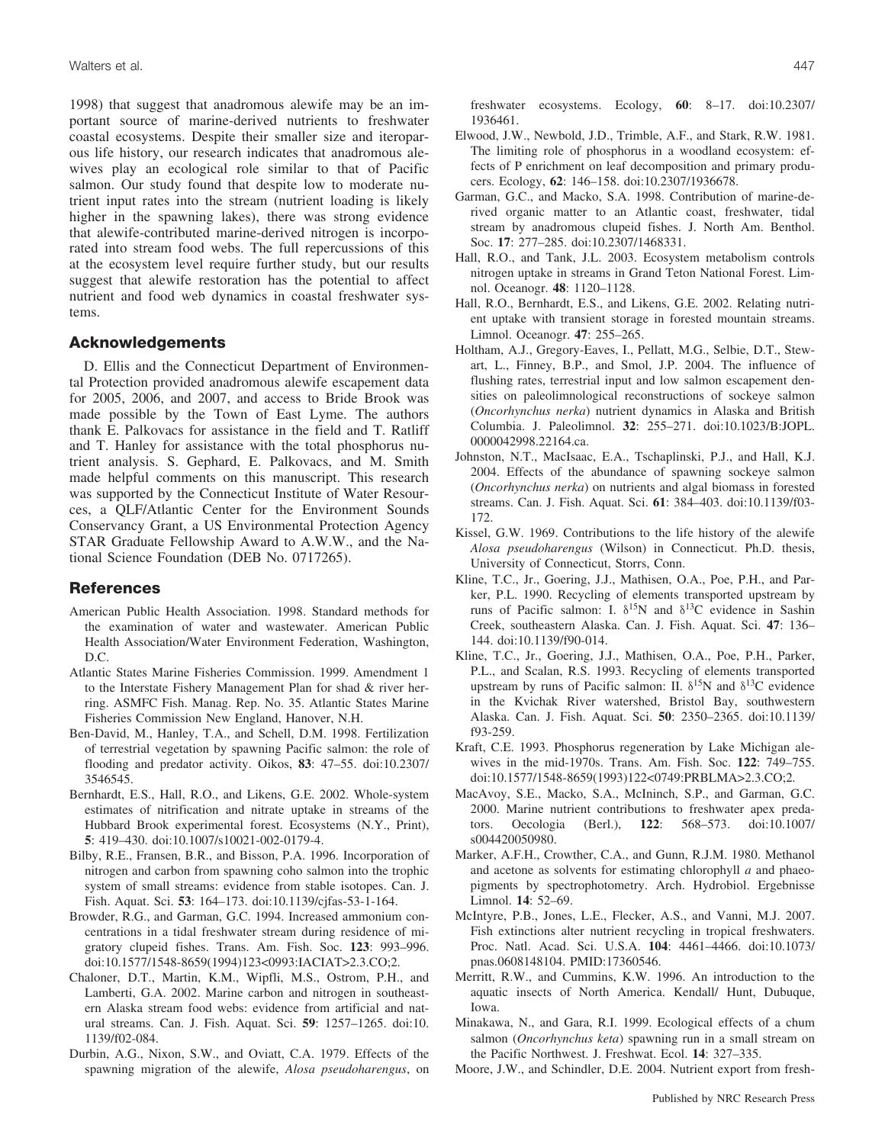1998) that suggest that anadromous alewife may be an important source of marine-derived nutrients to freshwater coastal ecosystems. Despite their smaller size and iteroparous life history, our research indicates that anadromous alewives play an ecological role similar to that of Pacific salmon. Our study found that despite low to moderate nutrient input rates into the stream (nutrient loading is likely higher in the spawning lakes), there was strong evidence that alewife-contributed marine-derived nitrogen is incorporated into stream food webs. The full repercussions of this at the ecosystem level require further study, but our results suggest that alewife restoration has the potential to affect nutrient and food web dynamics in coastal freshwater systems.

## **Acknowledgements**

D. Ellis and the Connecticut Department of Environmental Protection provided anadromous alewife escapement data for 2005, 2006, and 2007, and access to Bride Brook was made possible by the Town of East Lyme. The authors thank E. Palkovacs for assistance in the field and T. Ratliff and T. Hanley for assistance with the total phosphorus nutrient analysis. S. Gephard, E. Palkovacs, and M. Smith made helpful comments on this manuscript. This research was supported by the Connecticut Institute of Water Resources, a QLF/Atlantic Center for the Environment Sounds Conservancy Grant, a US Environmental Protection Agency STAR Graduate Fellowship Award to A.W.W., and the National Science Foundation (DEB No. 0717265).

# **References**

- American Public Health Association. 1998. Standard methods for the examination of water and wastewater. American Public Health Association/Water Environment Federation, Washington, D.C.
- Atlantic States Marine Fisheries Commission. 1999. Amendment 1 to the Interstate Fishery Management Plan for shad & river herring. ASMFC Fish. Manag. Rep. No. 35. Atlantic States Marine Fisheries Commission New England, Hanover, N.H.
- Ben-David, M., Hanley, T.A., and Schell, D.M. 1998. Fertilization of terrestrial vegetation by spawning Pacific salmon: the role of flooding and predator activity. Oikos, **83**: 47–55. doi:10.2307/ 3546545.
- Bernhardt, E.S., Hall, R.O., and Likens, G.E. 2002. Whole-system estimates of nitrification and nitrate uptake in streams of the Hubbard Brook experimental forest. Ecosystems (N.Y., Print), **5**: 419–430. doi:10.1007/s10021-002-0179-4.
- Bilby, R.E., Fransen, B.R., and Bisson, P.A. 1996. Incorporation of nitrogen and carbon from spawning coho salmon into the trophic system of small streams: evidence from stable isotopes. Can. J. Fish. Aquat. Sci. **53**: 164–173. doi:10.1139/cjfas-53-1-164.
- Browder, R.G., and Garman, G.C. 1994. Increased ammonium concentrations in a tidal freshwater stream during residence of migratory clupeid fishes. Trans. Am. Fish. Soc. **123**: 993–996. doi:10.1577/1548-8659(1994)123<0993:IACIAT>2.3.CO;2.
- Chaloner, D.T., Martin, K.M., Wipfli, M.S., Ostrom, P.H., and Lamberti, G.A. 2002. Marine carbon and nitrogen in southeastern Alaska stream food webs: evidence from artificial and natural streams. Can. J. Fish. Aquat. Sci. **59**: 1257–1265. doi:10. 1139/f02-084.
- Durbin, A.G., Nixon, S.W., and Oviatt, C.A. 1979. Effects of the spawning migration of the alewife, *Alosa pseudoharengus*, on

freshwater ecosystems. Ecology, **60**: 8–17. doi:10.2307/ 1936461.

- Elwood, J.W., Newbold, J.D., Trimble, A.F., and Stark, R.W. 1981. The limiting role of phosphorus in a woodland ecosystem: effects of P enrichment on leaf decomposition and primary producers. Ecology, **62**: 146–158. doi:10.2307/1936678.
- Garman, G.C., and Macko, S.A. 1998. Contribution of marine-derived organic matter to an Atlantic coast, freshwater, tidal stream by anadromous clupeid fishes. J. North Am. Benthol. Soc. **17**: 277–285. doi:10.2307/1468331.
- Hall, R.O., and Tank, J.L. 2003. Ecosystem metabolism controls nitrogen uptake in streams in Grand Teton National Forest. Limnol. Oceanogr. **48**: 1120–1128.
- Hall, R.O., Bernhardt, E.S., and Likens, G.E. 2002. Relating nutrient uptake with transient storage in forested mountain streams. Limnol. Oceanogr. **47**: 255–265.
- Holtham, A.J., Gregory-Eaves, I., Pellatt, M.G., Selbie, D.T., Stewart, L., Finney, B.P., and Smol, J.P. 2004. The influence of flushing rates, terrestrial input and low salmon escapement densities on paleolimnological reconstructions of sockeye salmon (*Oncorhynchus nerka*) nutrient dynamics in Alaska and British Columbia. J. Paleolimnol. **32**: 255–271. doi:10.1023/B:JOPL. 0000042998.22164.ca.
- Johnston, N.T., MacIsaac, E.A., Tschaplinski, P.J., and Hall, K.J. 2004. Effects of the abundance of spawning sockeye salmon (*Oncorhynchus nerka*) on nutrients and algal biomass in forested streams. Can. J. Fish. Aquat. Sci. **61**: 384–403. doi:10.1139/f03- 172.
- Kissel, G.W. 1969. Contributions to the life history of the alewife *Alosa pseudoharengus* (Wilson) in Connecticut. Ph.D. thesis, University of Connecticut, Storrs, Conn.
- Kline, T.C., Jr., Goering, J.J., Mathisen, O.A., Poe, P.H., and Parker, P.L. 1990. Recycling of elements transported upstream by runs of Pacific salmon: I.  $\delta^{15}N$  and  $\delta^{13}C$  evidence in Sashin Creek, southeastern Alaska. Can. J. Fish. Aquat. Sci. **47**: 136– 144. doi:10.1139/f90-014.
- Kline, T.C., Jr., Goering, J.J., Mathisen, O.A., Poe, P.H., Parker, P.L., and Scalan, R.S. 1993. Recycling of elements transported upstream by runs of Pacific salmon: II.  $\delta^{15}N$  and  $\delta^{13}C$  evidence in the Kvichak River watershed, Bristol Bay, southwestern Alaska. Can. J. Fish. Aquat. Sci. **50**: 2350–2365. doi:10.1139/ f93-259.
- Kraft, C.E. 1993. Phosphorus regeneration by Lake Michigan alewives in the mid-1970s. Trans. Am. Fish. Soc. **122**: 749–755. doi:10.1577/1548-8659(1993)122<0749:PRBLMA>2.3.CO;2.
- MacAvoy, S.E., Macko, S.A., McIninch, S.P., and Garman, G.C. 2000. Marine nutrient contributions to freshwater apex predators. Oecologia (Berl.), **122**: 568–573. doi:10.1007/ s004420050980.
- Marker, A.F.H., Crowther, C.A., and Gunn, R.J.M. 1980. Methanol and acetone as solvents for estimating chlorophyll *a* and phaeopigments by spectrophotometry. Arch. Hydrobiol. Ergebnisse Limnol. **14**: 52–69.
- McIntyre, P.B., Jones, L.E., Flecker, A.S., and Vanni, M.J. 2007. Fish extinctions alter nutrient recycling in tropical freshwaters. Proc. Natl. Acad. Sci. U.S.A. **104**: 4461–4466. doi:10.1073/ pnas.0608148104. PMID:17360546.
- Merritt, R.W., and Cummins, K.W. 1996. An introduction to the aquatic insects of North America. Kendall/ Hunt, Dubuque, Iowa.
- Minakawa, N., and Gara, R.I. 1999. Ecological effects of a chum salmon (*Oncorhynchus keta*) spawning run in a small stream on the Pacific Northwest. J. Freshwat. Ecol. **14**: 327–335.
- Moore, J.W., and Schindler, D.E. 2004. Nutrient export from fresh-